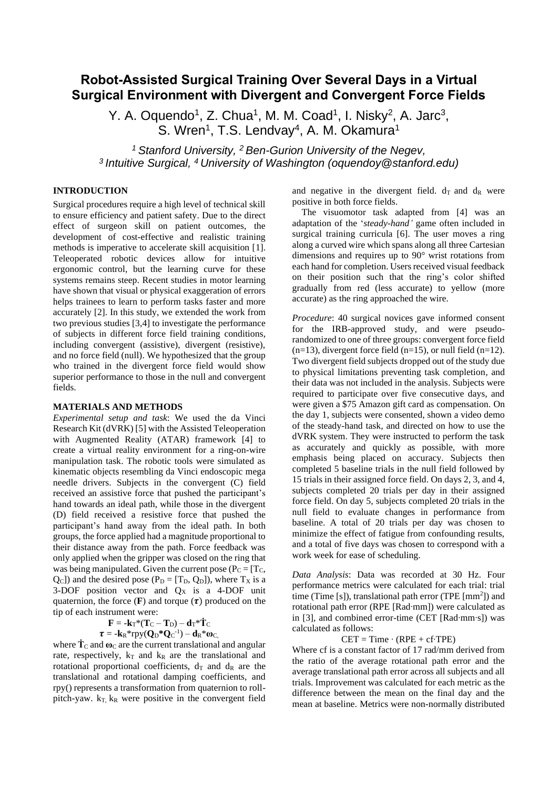# **Robot-Assisted Surgical Training Over Several Days in a Virtual Surgical Environment with Divergent and Convergent Force Fields**

Y. A. Oquendo<sup>1</sup>, Z. Chua<sup>1</sup>, M. M. Coad<sup>1</sup>, I. Nisky<sup>2</sup>, A. Jarc<sup>3</sup>, S. Wren<sup>1</sup>, T.S. Lendvay<sup>4</sup>, A. M. Okamura<sup>1</sup>

*<sup>1</sup> Stanford University, <sup>2</sup> Ben-Gurion University of the Negev, <sup>3</sup>Intuitive Surgical, <sup>4</sup>University of Washington (oquendoy@stanford.edu)*

## **INTRODUCTION**

Surgical procedures require a high level of technical skill to ensure efficiency and patient safety. Due to the direct effect of surgeon skill on patient outcomes, the development of cost-effective and realistic training methods is imperative to accelerate skill acquisition [1]. Teleoperated robotic devices allow for intuitive ergonomic control, but the learning curve for these systems remains steep. Recent studies in motor learning have shown that visual or physical exaggeration of errors helps trainees to learn to perform tasks faster and more accurately [2]. In this study, we extended the work from two previous studies [3,4] to investigate the performance of subjects in different force field training conditions, including convergent (assistive), divergent (resistive), and no force field (null). We hypothesized that the group who trained in the divergent force field would show superior performance to those in the null and convergent fields.

### **MATERIALS AND METHODS**

*Experimental setup and task*: We used the da Vinci Research Kit (dVRK) [5] with the Assisted Teleoperation with Augmented Reality (ATAR) framework [4] to create a virtual reality environment for a ring-on-wire manipulation task. The robotic tools were simulated as kinematic objects resembling da Vinci endoscopic mega needle drivers. Subjects in the convergent (C) field received an assistive force that pushed the participant's hand towards an ideal path, while those in the divergent (D) field received a resistive force that pushed the participant's hand away from the ideal path. In both groups, the force applied had a magnitude proportional to their distance away from the path. Force feedback was only applied when the gripper was closed on the ring that was being manipulated. Given the current pose ( $P_C = [T_C,$  $Q_C$ ]) and the desired pose (P<sub>D</sub> = [T<sub>D</sub>, Q<sub>D</sub>]), where T<sub>x</sub> is a 3-DOF position vector and  $Q_X$  is a 4-DOF unit quaternion, the force  $(F)$  and torque  $(\tau)$  produced on the tip of each instrument were:

 $\mathbf{F} = -\mathbf{k}_\mathrm{T}*(\mathbf{T}_\mathrm{C} - \mathbf{T}_\mathrm{D}) - \mathbf{d}_\mathrm{T}*\mathbf{T}_\mathrm{C}$ 

$$
\tau = -\mathbf{k}_{\mathrm{R}}*\mathrm{rpy}(\mathbf{Q}_{\mathrm{D}}*\mathbf{Q}_{\mathrm{C}}^{-1}) - \mathbf{d}_{\mathrm{R}}*\omega_{\mathrm{C},}
$$

where  $\dot{\mathbf{T}}_C$  and  $\boldsymbol{\omega}_C$  are the current translational and angular rate, respectively,  $k_T$  and  $k_R$  are the translational and rotational proportional coefficients,  $d_T$  and  $d_R$  are the translational and rotational damping coefficients, and rpy() represents a transformation from quaternion to rollpitch-yaw.  $k_T$ ,  $k_R$  were positive in the convergent field and negative in the divergent field.  $d_T$  and  $d_R$  were positive in both force fields.

 The visuomotor task adapted from [4] was an adaptation of the '*steady-hand'* game often included in surgical training curricula [6]. The user moves a ring along a curved wire which spans along all three Cartesian dimensions and requires up to 90° wrist rotations from each hand for completion. Users received visual feedback on their position such that the ring's color shifted gradually from red (less accurate) to yellow (more accurate) as the ring approached the wire.

*Procedure*: 40 surgical novices gave informed consent for the IRB-approved study, and were pseudorandomized to one of three groups: convergent force field  $(n=13)$ , divergent force field  $(n=15)$ , or null field  $(n=12)$ . Two divergent field subjects dropped out of the study due to physical limitations preventing task completion, and their data was not included in the analysis. Subjects were required to participate over five consecutive days, and were given a \$75 Amazon gift card as compensation. On the day 1, subjects were consented, shown a video demo of the steady-hand task, and directed on how to use the dVRK system. They were instructed to perform the task as accurately and quickly as possible, with more emphasis being placed on accuracy. Subjects then completed 5 baseline trials in the null field followed by 15 trials in their assigned force field. On days 2, 3, and 4, subjects completed 20 trials per day in their assigned force field. On day 5, subjects completed 20 trials in the null field to evaluate changes in performance from baseline. A total of 20 trials per day was chosen to minimize the effect of fatigue from confounding results, and a total of five days was chosen to correspond with a work week for ease of scheduling.

*Data Analysis*: Data was recorded at 30 Hz. Four performance metrics were calculated for each trial: trial time (Time [s]), translational path error (TPE  $\text{[mm}^2\text{]})$  and rotational path error (RPE [Rad∙mm]) were calculated as in [3], and combined error-time (CET [Rad∙mm∙s]) was calculated as follows:

### $CET = Time \cdot (RPE + cf \cdot TPE)$

Where cf is a constant factor of 17 rad/mm derived from the ratio of the average rotational path error and the average translational path error across all subjects and all trials. Improvement was calculated for each metric as the difference between the mean on the final day and the mean at baseline. Metrics were non-normally distributed